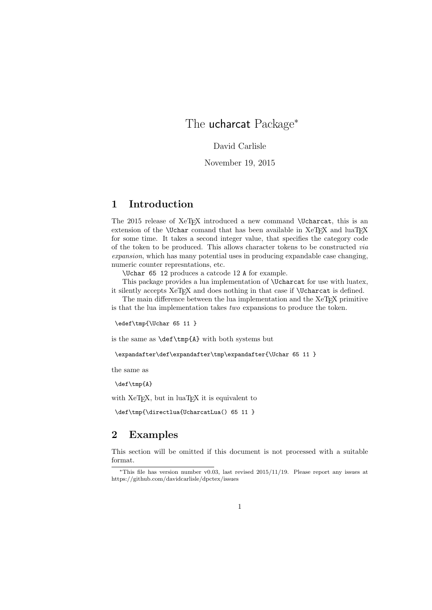## The ucharcat Package<sup>∗</sup>

David Carlisle

November 19, 2015

## 1 Introduction

The 2015 release of XeTEX introduced a new command \Ucharcat, this is an extension of the  $\Upsilon$  comand that has been available in XeT<sub>E</sub>X and luaT<sub>E</sub>X for some time. It takes a second integer value, that specifies the category code of the token to be produced. This allows character tokens to be constructed via expansion, which has many potential uses in producing expandable case changing, numeric counter represntations, etc.

\Uchar 65 12 produces a catcode 12 A for example.

This package provides a lua implementation of \Ucharcat for use with luatex, it silently accepts XeTEX and does nothing in that case if \Ucharcat is defined.

The main difference between the lua implementation and the XeT<sub>E</sub>X primitive is that the lua implementation takes two expansions to produce the token.

\edef\tmp{\Uchar 65 11 }

is the same as \def\tmp{A} with both systems but

\expandafter\def\expandafter\tmp\expandafter{\Uchar 65 11 }

the same as

\def\tmp{A}

with XeT<sub>E</sub>X, but in luaT<sub>E</sub>X it is equivalent to

\def\tmp{\directlua{UcharcatLua() 65 11 }

## 2 Examples

This section will be omitted if this document is not processed with a suitable format.

<sup>∗</sup>This file has version number v0.03, last revised 2015/11/19. Please report any issues at https://github.com/davidcarlisle/dpctex/issues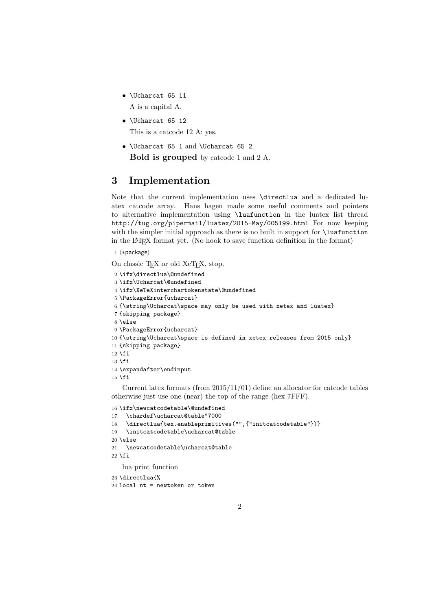- \Ucharcat 65 11 A is a capital A.
- \Ucharcat 65 12 This is a catcode 12 A: yes.
- \Ucharcat 65 1 and \Ucharcat 65 2 Bold is grouped by catcode 1 and 2 A.

## 3 Implementation

Note that the current implementation uses \directlua and a dedicated luatex catcode array. Hans hagen made some useful comments and pointers to alternative implementation using \luafunction in the luatex list thread http://tug.org/pipermail/luatex/2015-May/005199.html For now keeping with the simpler initial approach as there is no built in support for **\luafunction** in the LATEX format yet. (No hook to save function definition in the format)

1  $\langle *package \rangle$ 

```
On classic T<sub>E</sub>X or old XeT<sub>E</sub>X, stop.
2 \ifx\directlua\@undefined
3 \ifx\Ucharcat\@undefined
4 \ifx\XeTeXinterchartokenstate\@undefined
5 \PackageError{ucharcat}
6 {\string\Ucharcat\space may only be used with xetex and luatex}
7 {skipping package}
8 \else
9 \PackageError{ucharcat}
10 {\string\Ucharcat\space is defined in xetex releases from 2015 only}
11 {skipping package}
12 \iota13 \text{ t}14 \expandafter\endinput
15 \setminus fi
```
Current latex formats (from 2015/11/01) define an allocator for catcode tables otherwise just use one (near) the top of the range (hex 7FFF).

```
16 \ifx\newcatcodetable\@undefined
17 \chardef\ucharcat@table"7000
18 \directlua{tex.enableprimitives("",{"initcatcodetable"})}
19 \initcatcodetable\ucharcat@table
20 \else
21 \newcatcodetable\ucharcat@table
22 \fi
   lua print function
23 \directlua{%
24 local nt = newtoken or token
```